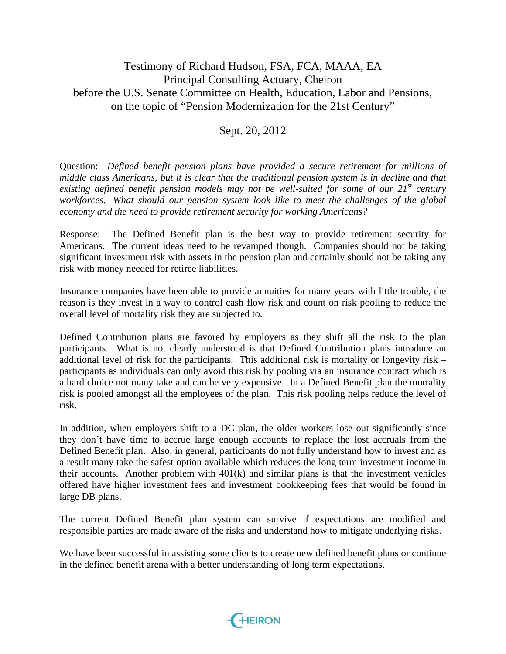## Testimony of Richard Hudson, FSA, FCA, MAAA, EA Principal Consulting Actuary, Cheiron before the U.S. Senate Committee on Health, Education, Labor and Pensions, on the topic of "Pension Modernization for the 21st Century"

## Sept. 20, 2012

Question: *Defined benefit pension plans have provided a secure retirement for millions of middle class Americans, but it is clear that the traditional pension system is in decline and that*  existing defined benefit pension models may not be well-suited for some of our 21<sup>st</sup> century *workforces. What should our pension system look like to meet the challenges of the global economy and the need to provide retirement security for working Americans?*

Response: The Defined Benefit plan is the best way to provide retirement security for Americans. The current ideas need to be revamped though. Companies should not be taking significant investment risk with assets in the pension plan and certainly should not be taking any risk with money needed for retiree liabilities.

Insurance companies have been able to provide annuities for many years with little trouble, the reason is they invest in a way to control cash flow risk and count on risk pooling to reduce the overall level of mortality risk they are subjected to.

Defined Contribution plans are favored by employers as they shift all the risk to the plan participants. What is not clearly understood is that Defined Contribution plans introduce an additional level of risk for the participants. This additional risk is mortality or longevity risk – participants as individuals can only avoid this risk by pooling via an insurance contract which is a hard choice not many take and can be very expensive. In a Defined Benefit plan the mortality risk is pooled amongst all the employees of the plan. This risk pooling helps reduce the level of risk.

In addition, when employers shift to a DC plan, the older workers lose out significantly since they don't have time to accrue large enough accounts to replace the lost accruals from the Defined Benefit plan. Also, in general, participants do not fully understand how to invest and as a result many take the safest option available which reduces the long term investment income in their accounts. Another problem with 401(k) and similar plans is that the investment vehicles offered have higher investment fees and investment bookkeeping fees that would be found in large DB plans.

The current Defined Benefit plan system can survive if expectations are modified and responsible parties are made aware of the risks and understand how to mitigate underlying risks.

We have been successful in assisting some clients to create new defined benefit plans or continue in the defined benefit arena with a better understanding of long term expectations.

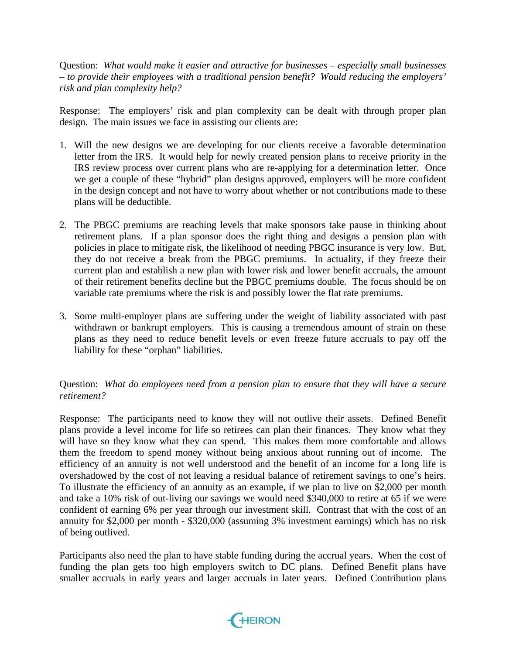Question: *What would make it easier and attractive for businesses – especially small businesses – to provide their employees with a traditional pension benefit? Would reducing the employers' risk and plan complexity help?*

Response: The employers' risk and plan complexity can be dealt with through proper plan design. The main issues we face in assisting our clients are:

- 1. Will the new designs we are developing for our clients receive a favorable determination letter from the IRS. It would help for newly created pension plans to receive priority in the IRS review process over current plans who are re-applying for a determination letter. Once we get a couple of these "hybrid" plan designs approved, employers will be more confident in the design concept and not have to worry about whether or not contributions made to these plans will be deductible.
- 2. The PBGC premiums are reaching levels that make sponsors take pause in thinking about retirement plans. If a plan sponsor does the right thing and designs a pension plan with policies in place to mitigate risk, the likelihood of needing PBGC insurance is very low. But, they do not receive a break from the PBGC premiums. In actuality, if they freeze their current plan and establish a new plan with lower risk and lower benefit accruals, the amount of their retirement benefits decline but the PBGC premiums double. The focus should be on variable rate premiums where the risk is and possibly lower the flat rate premiums.
- 3. Some multi-employer plans are suffering under the weight of liability associated with past withdrawn or bankrupt employers. This is causing a tremendous amount of strain on these plans as they need to reduce benefit levels or even freeze future accruals to pay off the liability for these "orphan" liabilities.

## Question: *What do employees need from a pension plan to ensure that they will have a secure retirement?*

Response: The participants need to know they will not outlive their assets. Defined Benefit plans provide a level income for life so retirees can plan their finances. They know what they will have so they know what they can spend. This makes them more comfortable and allows them the freedom to spend money without being anxious about running out of income. The efficiency of an annuity is not well understood and the benefit of an income for a long life is overshadowed by the cost of not leaving a residual balance of retirement savings to one's heirs. To illustrate the efficiency of an annuity as an example, if we plan to live on \$2,000 per month and take a 10% risk of out-living our savings we would need \$340,000 to retire at 65 if we were confident of earning 6% per year through our investment skill. Contrast that with the cost of an annuity for \$2,000 per month - \$320,000 (assuming 3% investment earnings) which has no risk of being outlived.

Participants also need the plan to have stable funding during the accrual years. When the cost of funding the plan gets too high employers switch to DC plans. Defined Benefit plans have smaller accruals in early years and larger accruals in later years. Defined Contribution plans